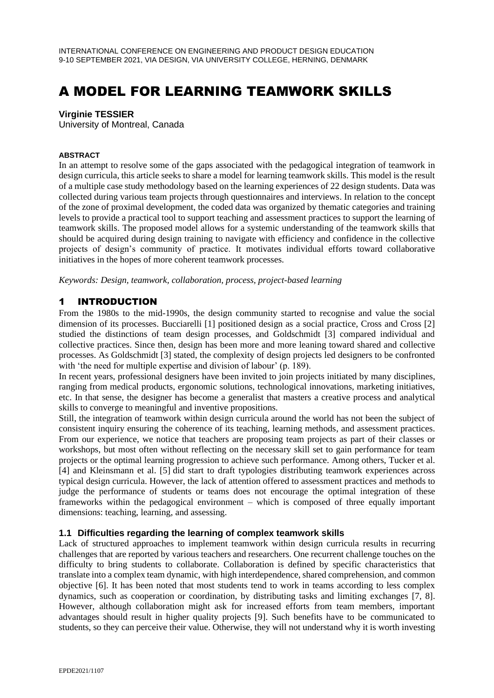# A MODEL FOR LEARNING TEAMWORK SKILLS

#### **Virginie TESSIER**

University of Montreal, Canada

#### **ABSTRACT**

In an attempt to resolve some of the gaps associated with the pedagogical integration of teamwork in design curricula, this article seeks to share a model for learning teamwork skills. This model is the result of a multiple case study methodology based on the learning experiences of 22 design students. Data was collected during various team projects through questionnaires and interviews. In relation to the concept of the zone of proximal development, the coded data was organized by thematic categories and training levels to provide a practical tool to support teaching and assessment practices to support the learning of teamwork skills. The proposed model allows for a systemic understanding of the teamwork skills that should be acquired during design training to navigate with efficiency and confidence in the collective projects of design's community of practice. It motivates individual efforts toward collaborative initiatives in the hopes of more coherent teamwork processes.

*Keywords: Design, teamwork, collaboration, process, project-based learning*

## 1 INTRODUCTION

From the 1980s to the mid-1990s, the design community started to recognise and value the social dimension of its processes. Bucciarelli [1] positioned design as a social practice, Cross and Cross [2] studied the distinctions of team design processes, and Goldschmidt [3] compared individual and collective practices. Since then, design has been more and more leaning toward shared and collective processes. As Goldschmidt [3] stated, the complexity of design projects led designers to be confronted with 'the need for multiple expertise and division of labour' (p. 189).

In recent years, professional designers have been invited to join projects initiated by many disciplines, ranging from medical products, ergonomic solutions, technological innovations, marketing initiatives, etc. In that sense, the designer has become a generalist that masters a creative process and analytical skills to converge to meaningful and inventive propositions.

Still, the integration of teamwork within design curricula around the world has not been the subject of consistent inquiry ensuring the coherence of its teaching, learning methods, and assessment practices. From our experience, we notice that teachers are proposing team projects as part of their classes or workshops, but most often without reflecting on the necessary skill set to gain performance for team projects or the optimal learning progression to achieve such performance. Among others, Tucker et al. [4] and Kleinsmann et al. [5] did start to draft typologies distributing teamwork experiences across typical design curricula. However, the lack of attention offered to assessment practices and methods to judge the performance of students or teams does not encourage the optimal integration of these frameworks within the pedagogical environment – which is composed of three equally important dimensions: teaching, learning, and assessing.

#### **1.1 Difficulties regarding the learning of complex teamwork skills**

Lack of structured approaches to implement teamwork within design curricula results in recurring challenges that are reported by various teachers and researchers. One recurrent challenge touches on the difficulty to bring students to collaborate. Collaboration is defined by specific characteristics that translate into a complex team dynamic, with high interdependence, shared comprehension, and common objective [6]. It has been noted that most students tend to work in teams according to less complex dynamics, such as cooperation or coordination, by distributing tasks and limiting exchanges [7, 8]. However, although collaboration might ask for increased efforts from team members, important advantages should result in higher quality projects [9]. Such benefits have to be communicated to students, so they can perceive their value. Otherwise, they will not understand why it is worth investing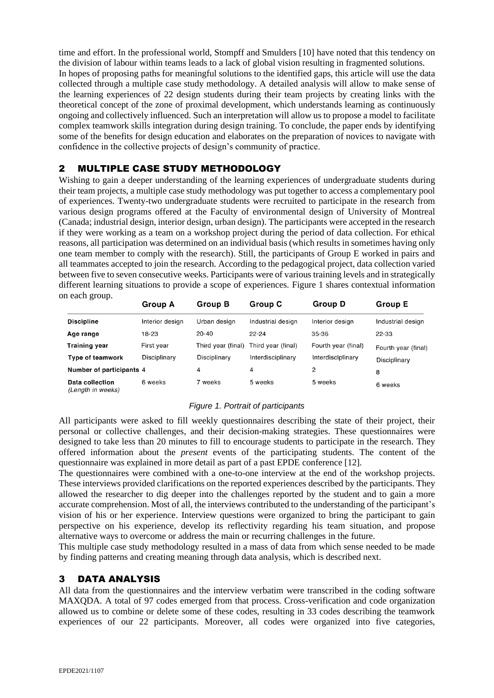time and effort. In the professional world, Stompff and Smulders [10] have noted that this tendency on the division of labour within teams leads to a lack of global vision resulting in fragmented solutions. In hopes of proposing paths for meaningful solutions to the identified gaps, this article will use the data collected through a multiple case study methodology. A detailed analysis will allow to make sense of the learning experiences of 22 design students during their team projects by creating links with the theoretical concept of the zone of proximal development, which understands learning as continuously ongoing and collectively influenced. Such an interpretation will allow us to propose a model to facilitate complex teamwork skills integration during design training. To conclude, the paper ends by identifying some of the benefits for design education and elaborates on the preparation of novices to navigate with confidence in the collective projects of design's community of practice.

## 2 MULTIPLE CASE STUDY METHODOLOGY

Wishing to gain a deeper understanding of the learning experiences of undergraduate students during their team projects, a multiple case study methodology was put together to access a complementary pool of experiences. Twenty-two undergraduate students were recruited to participate in the research from various design programs offered at the Faculty of environmental design of University of Montreal (Canada; industrial design, interior design, urban design). The participants were accepted in the research if they were working as a team on a workshop project during the period of data collection. For ethical reasons, all participation was determined on an individual basis (which results in sometimes having only one team member to comply with the research). Still, the participants of Group E worked in pairs and all teammates accepted to join the research. According to the pedagogical project, data collection varied between five to seven consecutive weeks. Participants were of various training levels and in strategically different learning situations to provide a scope of experiences. Figure 1 shares contextual information on each group.

| $\cdots$ cuent group.                | <b>Group A</b>  | <b>Group B</b>     | Group C            | Group D             | Group E             |
|--------------------------------------|-----------------|--------------------|--------------------|---------------------|---------------------|
| <b>Discipline</b>                    | Interior design | Urban design       | Industrial design  | Interior design     | Industrial design   |
| Age range                            | 18-23           | $20 - 40$          | $22 - 24$          | 35-36               | 22-33               |
| <b>Training year</b>                 | First year      | Third year (final) | Third year (final) | Fourth year (final) | Fourth year (final) |
| <b>Type of teamwork</b>              | Disciplinary    | Disciplinary       | Interdisciplinary  | Interdisciplinary   | Disciplinary        |
| Number of participants 4             |                 | 4                  | 4                  | 2                   | 8                   |
| Data collection<br>(Length in weeks) | 6 weeks         | 7 weeks            | 5 weeks            | 5 weeks             | 6 weeks             |

#### *Figure 1. Portrait of participants*

All participants were asked to fill weekly questionnaires describing the state of their project, their personal or collective challenges, and their decision-making strategies. These questionnaires were designed to take less than 20 minutes to fill to encourage students to participate in the research. They offered information about the *present* events of the participating students. The content of the questionnaire was explained in more detail as part of a past EPDE conference [12].

The questionnaires were combined with a one-to-one interview at the end of the workshop projects. These interviews provided clarifications on the reported experiences described by the participants. They allowed the researcher to dig deeper into the challenges reported by the student and to gain a more accurate comprehension. Most of all, the interviews contributed to the understanding of the participant's vision of his or her experience. Interview questions were organized to bring the participant to gain perspective on his experience, develop its reflectivity regarding his team situation, and propose alternative ways to overcome or address the main or recurring challenges in the future.

This multiple case study methodology resulted in a mass of data from which sense needed to be made by finding patterns and creating meaning through data analysis, which is described next.

# 3 DATA ANALYSIS

All data from the questionnaires and the interview verbatim were transcribed in the coding software MAXQDA. A total of 97 codes emerged from that process. Cross-verification and code organization allowed us to combine or delete some of these codes, resulting in 33 codes describing the teamwork experiences of our 22 participants. Moreover, all codes were organized into five categories,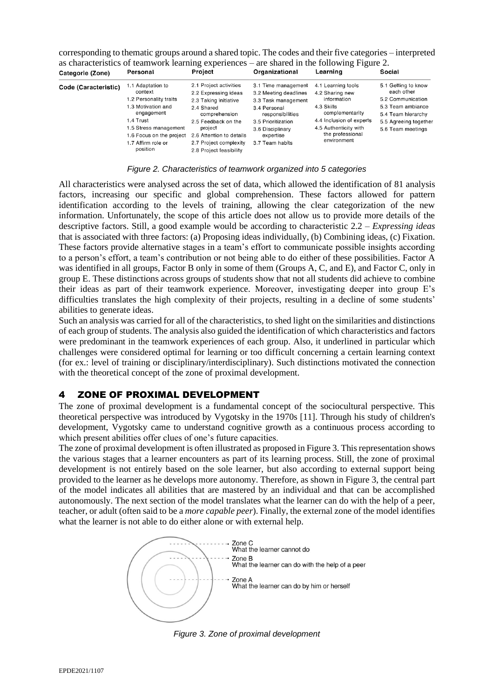| Categorie (Zone)     | Personal                                                                                                                                                                                       | Project                                                                                                                                                                                                                   | Organizational                                                                                                                                                                    | Learning                                                                                                                                                                      | Social                                                                                                                                          |
|----------------------|------------------------------------------------------------------------------------------------------------------------------------------------------------------------------------------------|---------------------------------------------------------------------------------------------------------------------------------------------------------------------------------------------------------------------------|-----------------------------------------------------------------------------------------------------------------------------------------------------------------------------------|-------------------------------------------------------------------------------------------------------------------------------------------------------------------------------|-------------------------------------------------------------------------------------------------------------------------------------------------|
| Code (Caracteristic) | 1.1 Adaptation to<br>context<br>1.2 Personality traits<br>1.3 Motivation and<br>engagement<br>1.4 Trust<br>1.5 Stress management<br>1.6 Focus on the project<br>1.7 Affirm role or<br>position | 2.1 Project activities<br>2.2 Expressing ideas<br>2.3 Taking initiative<br>2.4 Shared<br>comprehension<br>2.5 Feedback on the<br>project<br>2.6 Attention to details<br>2.7 Project complexity<br>2.8 Project feasibility | 3.1 Time management<br>3.2 Meeting deadlines<br>3.3 Task management<br>3.4 Personal<br>responsibilities<br>3.5 Prioritization<br>3.6 Disciplinary<br>expertise<br>3.7 Team habits | 4.1 Learning tools<br>4.2 Sharing new<br>information<br>4.3 Skills<br>complementarity<br>4.4 Inclusion of experts<br>4.5 Authenticity with<br>the professional<br>environment | 5.1 Getting to know<br>each other<br>5.2 Communication<br>5.3 Team ambiance<br>5.4 Team hierarchy<br>5.5 Agreeing together<br>5.6 Team meetings |

corresponding to thematic groups around a shared topic. The codes and their five categories – interpreted as characteristics of teamwork learning experiences – are shared in the following Figure 2.

#### *Figure 2. Characteristics of teamwork organized into 5 categories*

All characteristics were analysed across the set of data, which allowed the identification of 81 analysis factors, increasing our specific and global comprehension. These factors allowed for pattern identification according to the levels of training, allowing the clear categorization of the new information. Unfortunately, the scope of this article does not allow us to provide more details of the descriptive factors. Still, a good example would be according to characteristic 2.2 – *Expressing ideas* that is associated with three factors: (a) Proposing ideas individually, (b) Combining ideas, (c) Fixation. These factors provide alternative stages in a team's effort to communicate possible insights according to a person's effort, a team's contribution or not being able to do either of these possibilities. Factor A was identified in all groups, Factor B only in some of them (Groups A, C, and E), and Factor C, only in group E. These distinctions across groups of students show that not all students did achieve to combine their ideas as part of their teamwork experience. Moreover, investigating deeper into group E's difficulties translates the high complexity of their projects, resulting in a decline of some students' abilities to generate ideas.

Such an analysis was carried for all of the characteristics, to shed light on the similarities and distinctions of each group of students. The analysis also guided the identification of which characteristics and factors were predominant in the teamwork experiences of each group. Also, it underlined in particular which challenges were considered optimal for learning or too difficult concerning a certain learning context (for ex.: level of training or disciplinary/interdisciplinary). Such distinctions motivated the connection with the theoretical concept of the zone of proximal development.

## 4 ZONE OF PROXIMAL DEVELOPMENT

The zone of proximal development is a fundamental concept of the sociocultural perspective. This theoretical perspective was introduced by Vygotsky in the 1970s [11]. Through his study of children's development, Vygotsky came to understand cognitive growth as a continuous process according to which present abilities offer clues of one's future capacities.

The zone of proximal development is often illustrated as proposed in Figure 3. This representation shows the various stages that a learner encounters as part of its learning process. Still, the zone of proximal development is not entirely based on the sole learner, but also according to external support being provided to the learner as he develops more autonomy. Therefore, as shown in Figure 3, the central part of the model indicates all abilities that are mastered by an individual and that can be accomplished autonomously. The next section of the model translates what the learner can do with the help of a peer, teacher, or adult (often said to be a *more capable peer*). Finally, the external zone of the model identifies what the learner is not able to do either alone or with external help.



*Figure 3. Zone of proximal development*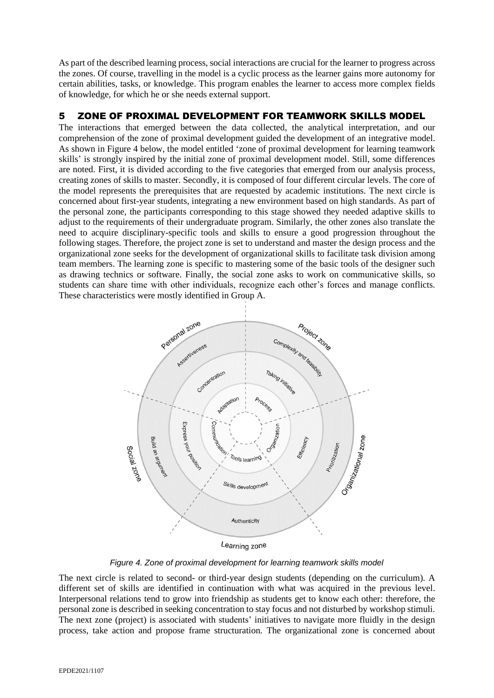As part of the described learning process, social interactions are crucial for the learner to progress across the zones. Of course, travelling in the model is a cyclic process as the learner gains more autonomy for certain abilities, tasks, or knowledge. This program enables the learner to access more complex fields of knowledge, for which he or she needs external support.

## 5 ZONE OF PROXIMAL DEVELOPMENT FOR TEAMWORK SKILLS MODEL

The interactions that emerged between the data collected, the analytical interpretation, and our comprehension of the zone of proximal development guided the development of an integrative model. As shown in Figure 4 below, the model entitled 'zone of proximal development for learning teamwork skills' is strongly inspired by the initial zone of proximal development model. Still, some differences are noted. First, it is divided according to the five categories that emerged from our analysis process, creating zones of skills to master. Secondly, it is composed of four different circular levels. The core of the model represents the prerequisites that are requested by academic institutions. The next circle is concerned about first-year students, integrating a new environment based on high standards. As part of the personal zone, the participants corresponding to this stage showed they needed adaptive skills to adjust to the requirements of their undergraduate program. Similarly, the other zones also translate the need to acquire disciplinary-specific tools and skills to ensure a good progression throughout the following stages. Therefore, the project zone is set to understand and master the design process and the organizational zone seeks for the development of organizational skills to facilitate task division among team members. The learning zone is specific to mastering some of the basic tools of the designer such as drawing technics or software. Finally, the social zone asks to work on communicative skills, so students can share time with other individuals, recognize each other's forces and manage conflicts. These characteristics were mostly identified in Group A.



Learning zone

*Figure 4. Zone of proximal development for learning teamwork skills model*

The next circle is related to second- or third-year design students (depending on the curriculum). A different set of skills are identified in continuation with what was acquired in the previous level. Interpersonal relations tend to grow into friendship as students get to know each other: therefore, the personal zone is described in seeking concentration to stay focus and not disturbed by workshop stimuli. The next zone (project) is associated with students' initiatives to navigate more fluidly in the design process, take action and propose frame structuration. The organizational zone is concerned about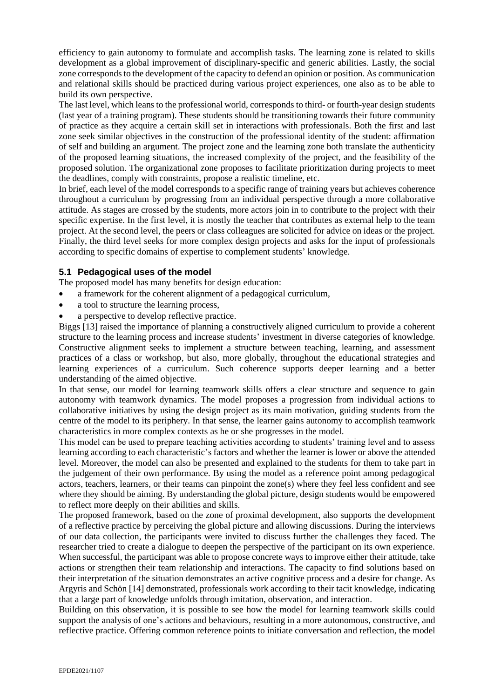efficiency to gain autonomy to formulate and accomplish tasks. The learning zone is related to skills development as a global improvement of disciplinary-specific and generic abilities. Lastly, the social zone corresponds to the development of the capacity to defend an opinion or position. As communication and relational skills should be practiced during various project experiences, one also as to be able to build its own perspective.

The last level, which leans to the professional world, corresponds to third- or fourth-year design students (last year of a training program). These students should be transitioning towards their future community of practice as they acquire a certain skill set in interactions with professionals. Both the first and last zone seek similar objectives in the construction of the professional identity of the student: affirmation of self and building an argument. The project zone and the learning zone both translate the authenticity of the proposed learning situations, the increased complexity of the project, and the feasibility of the proposed solution. The organizational zone proposes to facilitate prioritization during projects to meet the deadlines, comply with constraints, propose a realistic timeline, etc.

In brief, each level of the model corresponds to a specific range of training years but achieves coherence throughout a curriculum by progressing from an individual perspective through a more collaborative attitude. As stages are crossed by the students, more actors join in to contribute to the project with their specific expertise. In the first level, it is mostly the teacher that contributes as external help to the team project. At the second level, the peers or class colleagues are solicited for advice on ideas or the project. Finally, the third level seeks for more complex design projects and asks for the input of professionals according to specific domains of expertise to complement students' knowledge.

### **5.1 Pedagogical uses of the model**

The proposed model has many benefits for design education:

- a framework for the coherent alignment of a pedagogical curriculum,
- a tool to structure the learning process,
- a perspective to develop reflective practice.

Biggs [13] raised the importance of planning a constructively aligned curriculum to provide a coherent structure to the learning process and increase students' investment in diverse categories of knowledge. Constructive alignment seeks to implement a structure between teaching, learning, and assessment practices of a class or workshop, but also, more globally, throughout the educational strategies and learning experiences of a curriculum. Such coherence supports deeper learning and a better understanding of the aimed objective.

In that sense, our model for learning teamwork skills offers a clear structure and sequence to gain autonomy with teamwork dynamics. The model proposes a progression from individual actions to collaborative initiatives by using the design project as its main motivation, guiding students from the centre of the model to its periphery. In that sense, the learner gains autonomy to accomplish teamwork characteristics in more complex contexts as he or she progresses in the model.

This model can be used to prepare teaching activities according to students' training level and to assess learning according to each characteristic's factors and whether the learner is lower or above the attended level. Moreover, the model can also be presented and explained to the students for them to take part in the judgement of their own performance. By using the model as a reference point among pedagogical actors, teachers, learners, or their teams can pinpoint the zone(s) where they feel less confident and see where they should be aiming. By understanding the global picture, design students would be empowered to reflect more deeply on their abilities and skills.

The proposed framework, based on the zone of proximal development, also supports the development of a reflective practice by perceiving the global picture and allowing discussions. During the interviews of our data collection, the participants were invited to discuss further the challenges they faced. The researcher tried to create a dialogue to deepen the perspective of the participant on its own experience. When successful, the participant was able to propose concrete ways to improve either their attitude, take actions or strengthen their team relationship and interactions. The capacity to find solutions based on their interpretation of the situation demonstrates an active cognitive process and a desire for change. As Argyris and Schön [14] demonstrated, professionals work according to their tacit knowledge, indicating that a large part of knowledge unfolds through imitation, observation, and interaction.

Building on this observation, it is possible to see how the model for learning teamwork skills could support the analysis of one's actions and behaviours, resulting in a more autonomous, constructive, and reflective practice. Offering common reference points to initiate conversation and reflection, the model